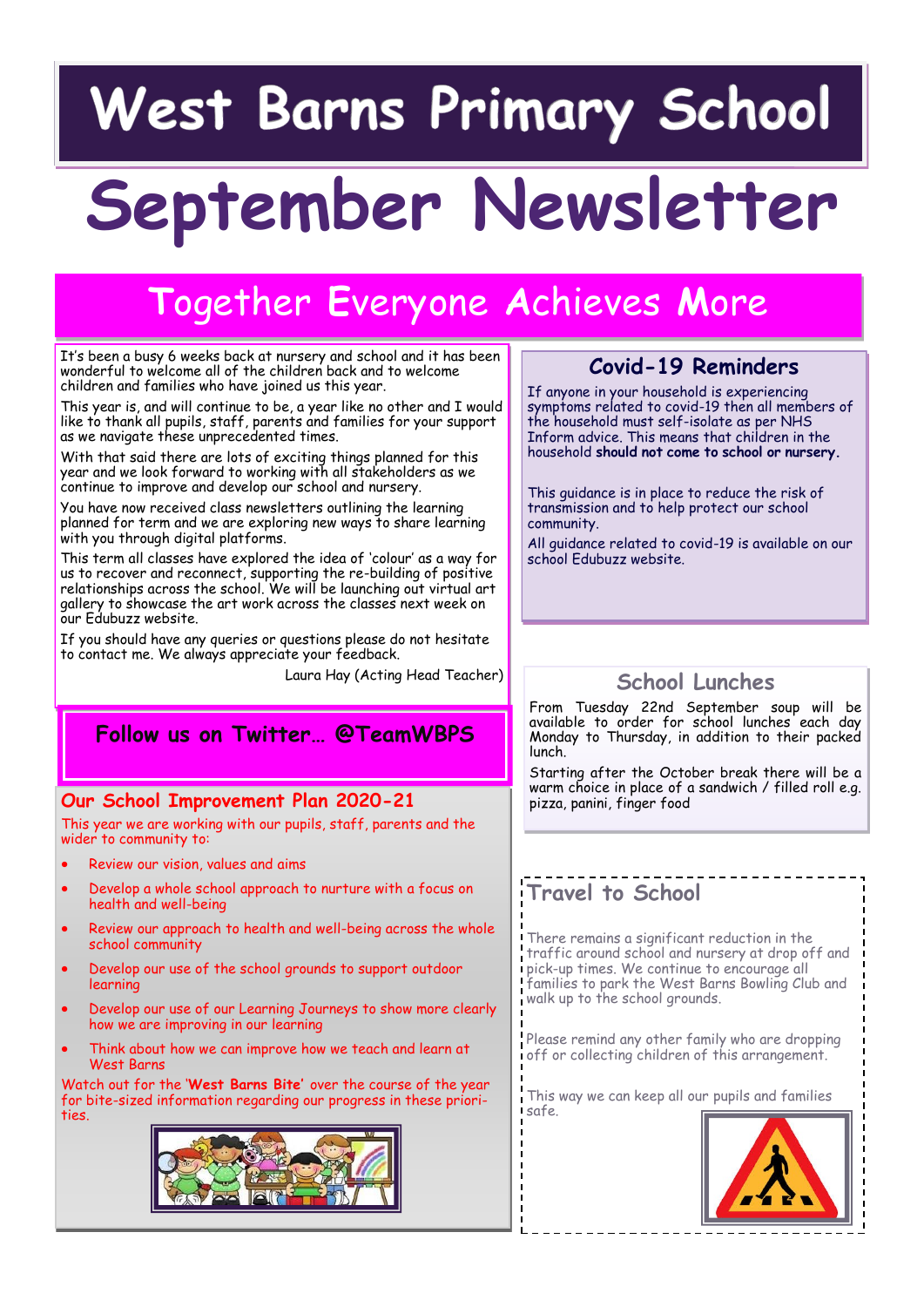## West Barns Primary School

# **September Newsletter**

### **T**ogether **E**veryone **A**chieves **M**ore

It's been a busy 6 weeks back at nursery and school and it has been wonderful to welcome all of the children back and to welcome children and families who have joined us this year.

This year is, and will continue to be, a year like no other and I would like to thank all pupils, staff, parents and families for your support as we navigate these unprecedented times.

With that said there are lots of exciting things planned for this year and we look forward to working with all stakeholders as we continue to improve and develop our school and nursery.

You have now received class newsletters outlining the learning planned for term and we are exploring new ways to share learning with you through digital platforms.

This term all classes have explored the idea of 'colour' as a way for us to recover and reconnect, supporting the re-building of positive relationships across the school. We will be launching out virtual art gallery to showcase the art work across the classes next week on our Edubuzz website.

If you should have any queries or questions please do not hesitate to contact me. We always appreciate your feedback.

Laura Hay (Acting Head Teacher)

#### **Follow us on Twitter… @TeamWBPS**

#### **Our School Improvement Plan 2020-21**

This year we are working with our pupils, staff, parents and the wider to community to:

- Review our vision, values and aims
- Develop a whole school approach to nurture with a focus on health and well-being
- Review our approach to health and well-being across the whole school community
- Develop our use of the school grounds to support outdoor learning
- Develop our use of our Learning Journeys to show more clearly how we are improving in our learning
- Think about how we can improve how we teach and learn at West Barns

Watch out for the '**West Barns Bite'** over the course of the year for bite-sized information regarding our progress in these priorities.



#### **Covid-19 Reminders**

If anyone in your household is experiencing symptoms related to covid-19 then all members of the household must self-isolate as per NHS Inform advice. This means that children in the household **should not come to school or nursery.**

This guidance is in place to reduce the risk of transmission and to help protect our school community.

All guidance related to covid-19 is available on our school Edubuzz website.

#### **School Lunches**

From Tuesday 22nd September soup will be available to order for school lunches each day Monday to Thursday, in addition to their packed lunch.

Starting after the October break there will be a warm choice in place of a sandwich / filled roll e.g. pizza, panini, finger food

#### **Travel to School**

There remains a significant reduction in the traffic around school and nursery at drop off and pick-up times. We continue to encourage all families to park the West Barns Bowling Club and walk up to the school grounds.

Please remind any other family who are dropping off or collecting children of this arrangement.

This way we can keep all our pupils and families safe.